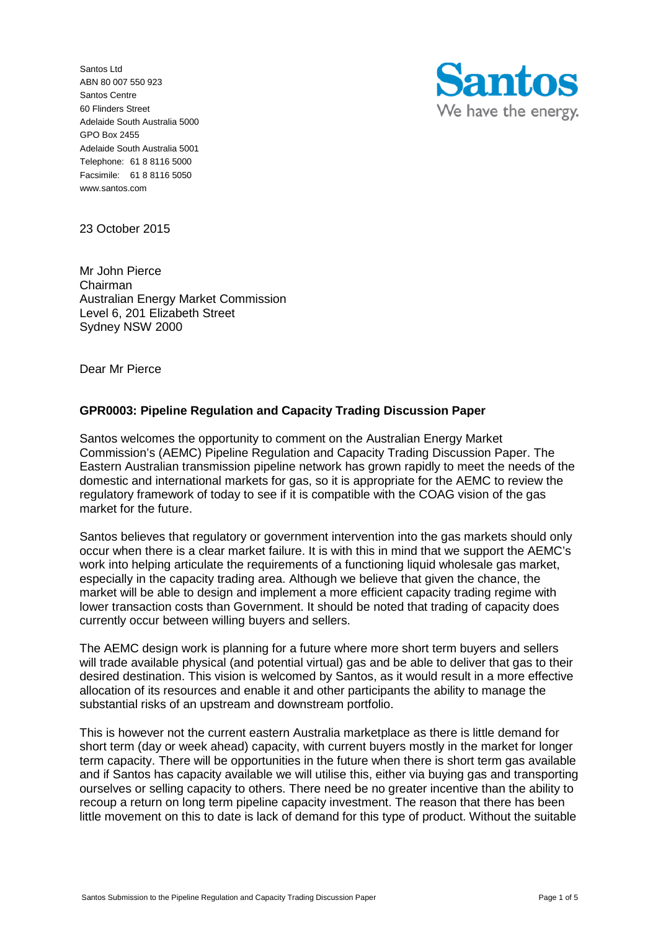Santos Ltd ABN 80 007 550 923 Santos Centre 60 Flinders Street Adelaide South Australia 5000 GPO Box 2455 Adelaide South Australia 5001 Telephone: 61 8 8116 5000 Facsimile: 61 8 8116 5050 www.santos.com



23 October 2015

Mr John Pierce Chairman Australian Energy Market Commission Level 6, 201 Elizabeth Street Sydney NSW 2000

Dear Mr Pierce

# **GPR0003: Pipeline Regulation and Capacity Trading Discussion Paper**

Santos welcomes the opportunity to comment on the Australian Energy Market Commission's (AEMC) Pipeline Regulation and Capacity Trading Discussion Paper. The Eastern Australian transmission pipeline network has grown rapidly to meet the needs of the domestic and international markets for gas, so it is appropriate for the AEMC to review the regulatory framework of today to see if it is compatible with the COAG vision of the gas market for the future.

Santos believes that regulatory or government intervention into the gas markets should only occur when there is a clear market failure. It is with this in mind that we support the AEMC's work into helping articulate the requirements of a functioning liquid wholesale gas market. especially in the capacity trading area. Although we believe that given the chance, the market will be able to design and implement a more efficient capacity trading regime with lower transaction costs than Government. It should be noted that trading of capacity does currently occur between willing buyers and sellers.

The AEMC design work is planning for a future where more short term buyers and sellers will trade available physical (and potential virtual) gas and be able to deliver that gas to their desired destination. This vision is welcomed by Santos, as it would result in a more effective allocation of its resources and enable it and other participants the ability to manage the substantial risks of an upstream and downstream portfolio.

This is however not the current eastern Australia marketplace as there is little demand for short term (day or week ahead) capacity, with current buyers mostly in the market for longer term capacity. There will be opportunities in the future when there is short term gas available and if Santos has capacity available we will utilise this, either via buying gas and transporting ourselves or selling capacity to others. There need be no greater incentive than the ability to recoup a return on long term pipeline capacity investment. The reason that there has been little movement on this to date is lack of demand for this type of product. Without the suitable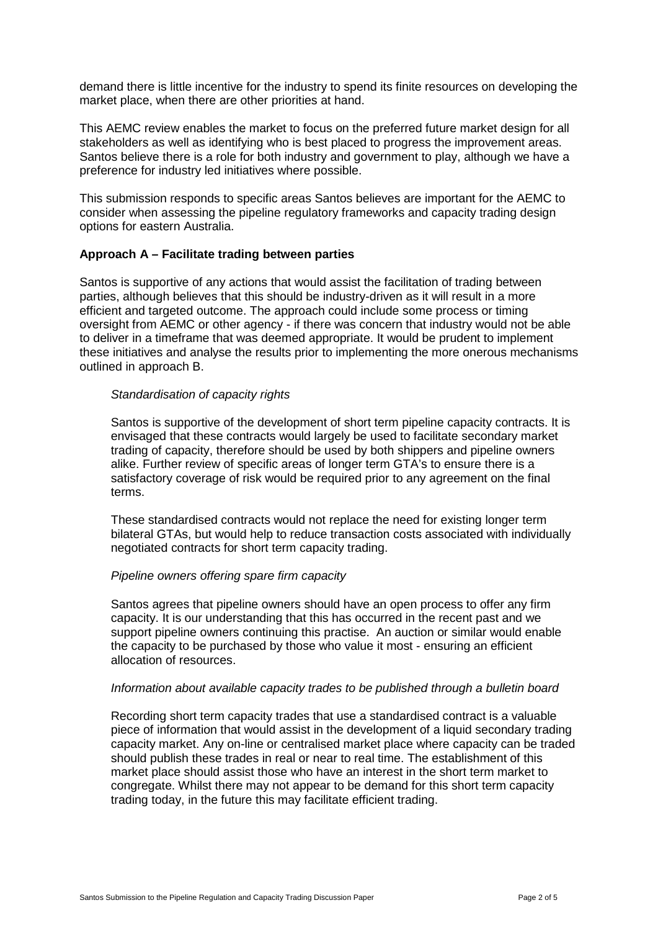demand there is little incentive for the industry to spend its finite resources on developing the market place, when there are other priorities at hand.

This AEMC review enables the market to focus on the preferred future market design for all stakeholders as well as identifying who is best placed to progress the improvement areas. Santos believe there is a role for both industry and government to play, although we have a preference for industry led initiatives where possible.

This submission responds to specific areas Santos believes are important for the AEMC to consider when assessing the pipeline regulatory frameworks and capacity trading design options for eastern Australia.

### **Approach A – Facilitate trading between parties**

Santos is supportive of any actions that would assist the facilitation of trading between parties, although believes that this should be industry-driven as it will result in a more efficient and targeted outcome. The approach could include some process or timing oversight from AEMC or other agency - if there was concern that industry would not be able to deliver in a timeframe that was deemed appropriate. It would be prudent to implement these initiatives and analyse the results prior to implementing the more onerous mechanisms outlined in approach B.

#### *Standardisation of capacity rights*

Santos is supportive of the development of short term pipeline capacity contracts. It is envisaged that these contracts would largely be used to facilitate secondary market trading of capacity, therefore should be used by both shippers and pipeline owners alike. Further review of specific areas of longer term GTA's to ensure there is a satisfactory coverage of risk would be required prior to any agreement on the final terms.

These standardised contracts would not replace the need for existing longer term bilateral GTAs, but would help to reduce transaction costs associated with individually negotiated contracts for short term capacity trading.

# *Pipeline owners offering spare firm capacity*

Santos agrees that pipeline owners should have an open process to offer any firm capacity. It is our understanding that this has occurred in the recent past and we support pipeline owners continuing this practise. An auction or similar would enable the capacity to be purchased by those who value it most - ensuring an efficient allocation of resources.

#### *Information about available capacity trades to be published through a bulletin board*

Recording short term capacity trades that use a standardised contract is a valuable piece of information that would assist in the development of a liquid secondary trading capacity market. Any on-line or centralised market place where capacity can be traded should publish these trades in real or near to real time. The establishment of this market place should assist those who have an interest in the short term market to congregate. Whilst there may not appear to be demand for this short term capacity trading today, in the future this may facilitate efficient trading.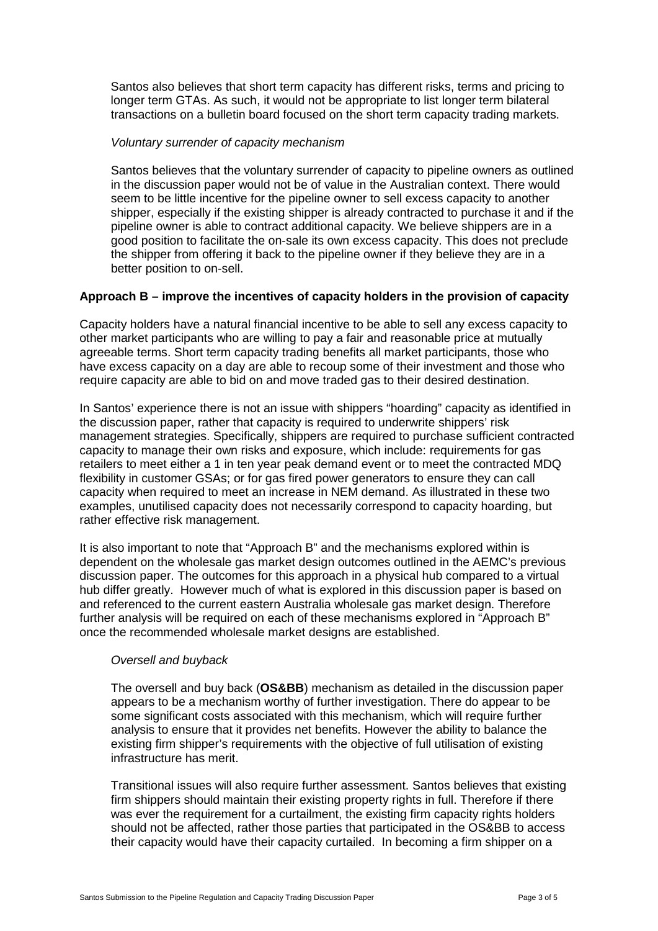Santos also believes that short term capacity has different risks, terms and pricing to longer term GTAs. As such, it would not be appropriate to list longer term bilateral transactions on a bulletin board focused on the short term capacity trading markets.

#### *Voluntary surrender of capacity mechanism*

Santos believes that the voluntary surrender of capacity to pipeline owners as outlined in the discussion paper would not be of value in the Australian context. There would seem to be little incentive for the pipeline owner to sell excess capacity to another shipper, especially if the existing shipper is already contracted to purchase it and if the pipeline owner is able to contract additional capacity. We believe shippers are in a good position to facilitate the on-sale its own excess capacity. This does not preclude the shipper from offering it back to the pipeline owner if they believe they are in a better position to on-sell.

# **Approach B – improve the incentives of capacity holders in the provision of capacity**

Capacity holders have a natural financial incentive to be able to sell any excess capacity to other market participants who are willing to pay a fair and reasonable price at mutually agreeable terms. Short term capacity trading benefits all market participants, those who have excess capacity on a day are able to recoup some of their investment and those who require capacity are able to bid on and move traded gas to their desired destination.

In Santos' experience there is not an issue with shippers "hoarding" capacity as identified in the discussion paper, rather that capacity is required to underwrite shippers' risk management strategies. Specifically, shippers are required to purchase sufficient contracted capacity to manage their own risks and exposure, which include: requirements for gas retailers to meet either a 1 in ten year peak demand event or to meet the contracted MDQ flexibility in customer GSAs; or for gas fired power generators to ensure they can call capacity when required to meet an increase in NEM demand. As illustrated in these two examples, unutilised capacity does not necessarily correspond to capacity hoarding, but rather effective risk management.

It is also important to note that "Approach B" and the mechanisms explored within is dependent on the wholesale gas market design outcomes outlined in the AEMC's previous discussion paper. The outcomes for this approach in a physical hub compared to a virtual hub differ greatly. However much of what is explored in this discussion paper is based on and referenced to the current eastern Australia wholesale gas market design. Therefore further analysis will be required on each of these mechanisms explored in "Approach B" once the recommended wholesale market designs are established.

# *Oversell and buyback*

The oversell and buy back (**OS&BB**) mechanism as detailed in the discussion paper appears to be a mechanism worthy of further investigation. There do appear to be some significant costs associated with this mechanism, which will require further analysis to ensure that it provides net benefits. However the ability to balance the existing firm shipper's requirements with the objective of full utilisation of existing infrastructure has merit.

Transitional issues will also require further assessment. Santos believes that existing firm shippers should maintain their existing property rights in full. Therefore if there was ever the requirement for a curtailment, the existing firm capacity rights holders should not be affected, rather those parties that participated in the OS&BB to access their capacity would have their capacity curtailed. In becoming a firm shipper on a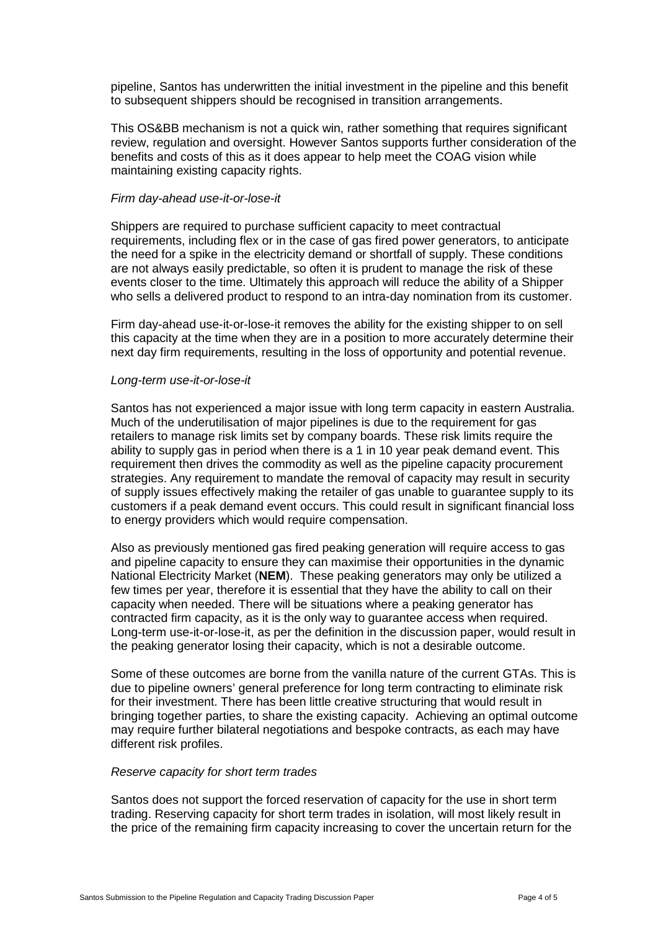pipeline, Santos has underwritten the initial investment in the pipeline and this benefit to subsequent shippers should be recognised in transition arrangements.

This OS&BB mechanism is not a quick win, rather something that requires significant review, regulation and oversight. However Santos supports further consideration of the benefits and costs of this as it does appear to help meet the COAG vision while maintaining existing capacity rights.

#### *Firm day-ahead use-it-or-lose-it*

Shippers are required to purchase sufficient capacity to meet contractual requirements, including flex or in the case of gas fired power generators, to anticipate the need for a spike in the electricity demand or shortfall of supply. These conditions are not always easily predictable, so often it is prudent to manage the risk of these events closer to the time. Ultimately this approach will reduce the ability of a Shipper who sells a delivered product to respond to an intra-day nomination from its customer.

Firm day-ahead use-it-or-lose-it removes the ability for the existing shipper to on sell this capacity at the time when they are in a position to more accurately determine their next day firm requirements, resulting in the loss of opportunity and potential revenue.

#### *Long-term use-it-or-lose-it*

Santos has not experienced a major issue with long term capacity in eastern Australia. Much of the underutilisation of major pipelines is due to the requirement for gas retailers to manage risk limits set by company boards. These risk limits require the ability to supply gas in period when there is a 1 in 10 year peak demand event. This requirement then drives the commodity as well as the pipeline capacity procurement strategies. Any requirement to mandate the removal of capacity may result in security of supply issues effectively making the retailer of gas unable to guarantee supply to its customers if a peak demand event occurs. This could result in significant financial loss to energy providers which would require compensation.

Also as previously mentioned gas fired peaking generation will require access to gas and pipeline capacity to ensure they can maximise their opportunities in the dynamic National Electricity Market (**NEM**). These peaking generators may only be utilized a few times per year, therefore it is essential that they have the ability to call on their capacity when needed. There will be situations where a peaking generator has contracted firm capacity, as it is the only way to guarantee access when required. Long-term use-it-or-lose-it, as per the definition in the discussion paper, would result in the peaking generator losing their capacity, which is not a desirable outcome.

Some of these outcomes are borne from the vanilla nature of the current GTAs. This is due to pipeline owners' general preference for long term contracting to eliminate risk for their investment. There has been little creative structuring that would result in bringing together parties, to share the existing capacity. Achieving an optimal outcome may require further bilateral negotiations and bespoke contracts, as each may have different risk profiles.

#### *Reserve capacity for short term trades*

Santos does not support the forced reservation of capacity for the use in short term trading. Reserving capacity for short term trades in isolation, will most likely result in the price of the remaining firm capacity increasing to cover the uncertain return for the